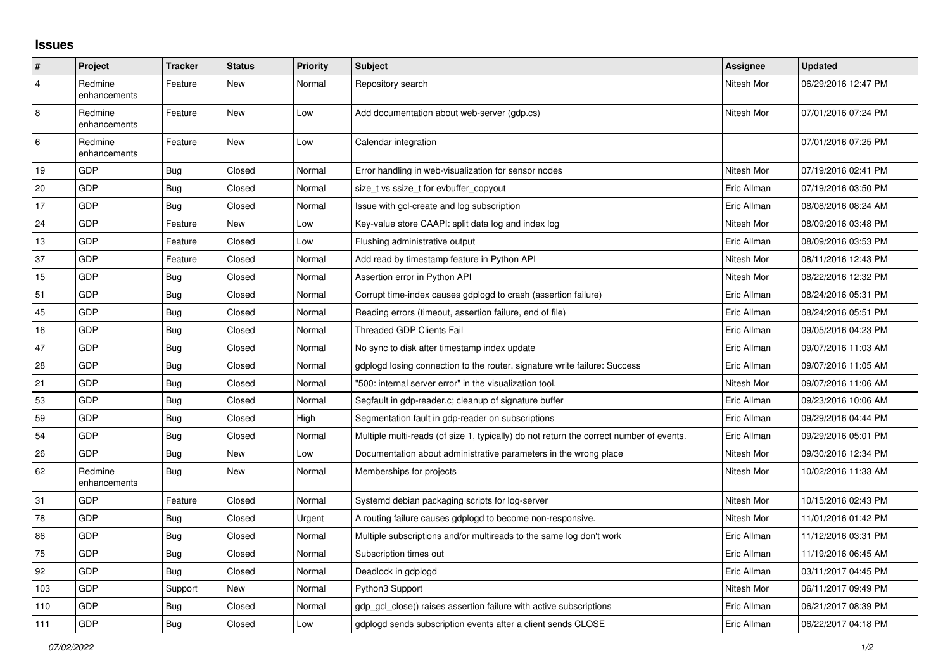## **Issues**

| ∦              | Project                 | <b>Tracker</b> | <b>Status</b> | <b>Priority</b> | <b>Subject</b>                                                                          | Assignee    | <b>Updated</b>      |
|----------------|-------------------------|----------------|---------------|-----------------|-----------------------------------------------------------------------------------------|-------------|---------------------|
| $\overline{4}$ | Redmine<br>enhancements | Feature        | New           | Normal          | Repository search                                                                       | Nitesh Mor  | 06/29/2016 12:47 PM |
| 8              | Redmine<br>enhancements | Feature        | New           | Low             | Add documentation about web-server (gdp.cs)                                             | Nitesh Mor  | 07/01/2016 07:24 PM |
| 6              | Redmine<br>enhancements | Feature        | New           | Low             | Calendar integration                                                                    |             | 07/01/2016 07:25 PM |
| 19             | GDP                     | <b>Bug</b>     | Closed        | Normal          | Error handling in web-visualization for sensor nodes                                    | Nitesh Mor  | 07/19/2016 02:41 PM |
| 20             | GDP                     | <b>Bug</b>     | Closed        | Normal          | size_t vs ssize_t for evbuffer_copyout                                                  | Eric Allman | 07/19/2016 03:50 PM |
| 17             | GDP                     | <b>Bug</b>     | Closed        | Normal          | Issue with gcl-create and log subscription                                              | Eric Allman | 08/08/2016 08:24 AM |
| 24             | GDP                     | Feature        | New           | Low             | Key-value store CAAPI: split data log and index log                                     | Nitesh Mor  | 08/09/2016 03:48 PM |
| 13             | GDP                     | Feature        | Closed        | Low             | Flushing administrative output                                                          | Eric Allman | 08/09/2016 03:53 PM |
| 37             | GDP                     | Feature        | Closed        | Normal          | Add read by timestamp feature in Python API                                             | Nitesh Mor  | 08/11/2016 12:43 PM |
| 15             | GDP                     | Bug            | Closed        | Normal          | Assertion error in Python API                                                           | Nitesh Mor  | 08/22/2016 12:32 PM |
| 51             | GDP                     | <b>Bug</b>     | Closed        | Normal          | Corrupt time-index causes gdplogd to crash (assertion failure)                          | Eric Allman | 08/24/2016 05:31 PM |
| 45             | GDP                     | Bug            | Closed        | Normal          | Reading errors (timeout, assertion failure, end of file)                                | Eric Allman | 08/24/2016 05:51 PM |
| 16             | GDP                     | <b>Bug</b>     | Closed        | Normal          | <b>Threaded GDP Clients Fail</b>                                                        | Eric Allman | 09/05/2016 04:23 PM |
| 47             | GDP                     | <b>Bug</b>     | Closed        | Normal          | No sync to disk after timestamp index update                                            | Eric Allman | 09/07/2016 11:03 AM |
| 28             | GDP                     | <b>Bug</b>     | Closed        | Normal          | gdplogd losing connection to the router. signature write failure: Success               | Eric Allman | 09/07/2016 11:05 AM |
| 21             | GDP                     | <b>Bug</b>     | Closed        | Normal          | "500: internal server error" in the visualization tool.                                 | Nitesh Mor  | 09/07/2016 11:06 AM |
| 53             | GDP                     | <b>Bug</b>     | Closed        | Normal          | Segfault in gdp-reader.c; cleanup of signature buffer                                   | Eric Allman | 09/23/2016 10:06 AM |
| 59             | GDP                     | <b>Bug</b>     | Closed        | High            | Segmentation fault in gdp-reader on subscriptions                                       | Eric Allman | 09/29/2016 04:44 PM |
| 54             | GDP                     | <b>Bug</b>     | Closed        | Normal          | Multiple multi-reads (of size 1, typically) do not return the correct number of events. | Eric Allman | 09/29/2016 05:01 PM |
| 26             | GDP                     | Bug            | New           | Low             | Documentation about administrative parameters in the wrong place                        | Nitesh Mor  | 09/30/2016 12:34 PM |
| 62             | Redmine<br>enhancements | <b>Bug</b>     | New           | Normal          | Memberships for projects                                                                | Nitesh Mor  | 10/02/2016 11:33 AM |
| 31             | GDP                     | Feature        | Closed        | Normal          | Systemd debian packaging scripts for log-server                                         | Nitesh Mor  | 10/15/2016 02:43 PM |
| 78             | GDP                     | <b>Bug</b>     | Closed        | Urgent          | A routing failure causes gdplogd to become non-responsive.                              | Nitesh Mor  | 11/01/2016 01:42 PM |
| 86             | GDP                     | <b>Bug</b>     | Closed        | Normal          | Multiple subscriptions and/or multireads to the same log don't work                     | Eric Allman | 11/12/2016 03:31 PM |
| 75             | GDP                     | <b>Bug</b>     | Closed        | Normal          | Subscription times out                                                                  | Eric Allman | 11/19/2016 06:45 AM |
| 92             | GDP                     | Bug            | Closed        | Normal          | Deadlock in gdplogd                                                                     | Eric Allman | 03/11/2017 04:45 PM |
| 103            | GDP                     | Support        | New           | Normal          | Python3 Support                                                                         | Nitesh Mor  | 06/11/2017 09:49 PM |
| 110            | GDP                     | <b>Bug</b>     | Closed        | Normal          | gdp gcl close() raises assertion failure with active subscriptions                      | Eric Allman | 06/21/2017 08:39 PM |
| 111            | GDP                     | <b>Bug</b>     | Closed        | Low             | adpload sends subscription events after a client sends CLOSE                            | Eric Allman | 06/22/2017 04:18 PM |